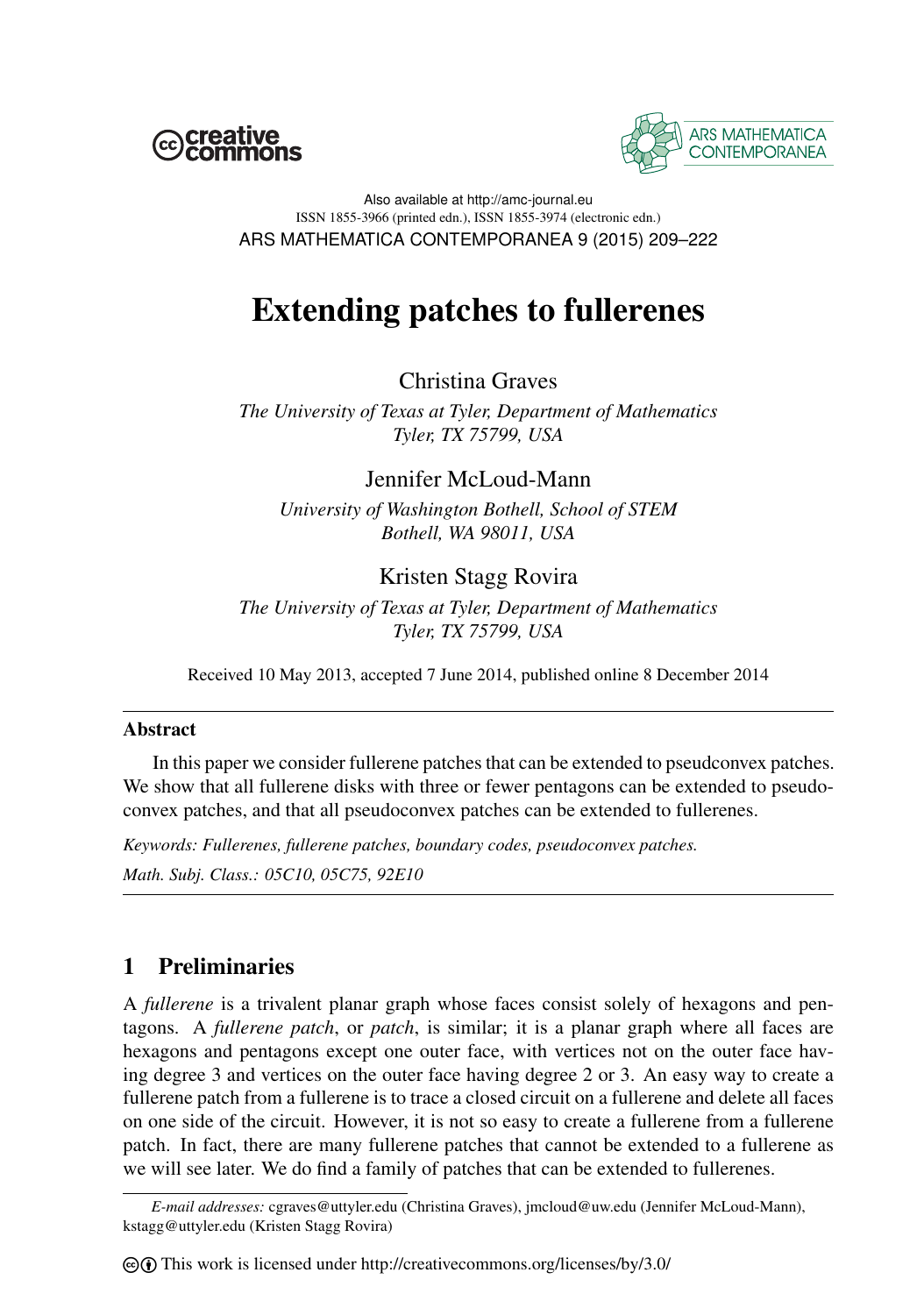



Also available at http://amc-journal.eu ISSN 1855-3966 (printed edn.), ISSN 1855-3974 (electronic edn.) ARS MATHEMATICA CONTEMPORANEA 9 (2015) 209–222

# Extending patches to fullerenes

Christina Graves

*The University of Texas at Tyler, Department of Mathematics Tyler, TX 75799, USA*

## Jennifer McLoud-Mann

*University of Washington Bothell, School of STEM Bothell, WA 98011, USA*

# Kristen Stagg Rovira

*The University of Texas at Tyler, Department of Mathematics Tyler, TX 75799, USA*

Received 10 May 2013, accepted 7 June 2014, published online 8 December 2014

## **Abstract**

In this paper we consider fullerene patches that can be extended to pseudconvex patches. We show that all fullerene disks with three or fewer pentagons can be extended to pseudoconvex patches, and that all pseudoconvex patches can be extended to fullerenes.

*Keywords: Fullerenes, fullerene patches, boundary codes, pseudoconvex patches. Math. Subj. Class.: 05C10, 05C75, 92E10*

# 1 Preliminaries

A *fullerene* is a trivalent planar graph whose faces consist solely of hexagons and pentagons. A *fullerene patch*, or *patch*, is similar; it is a planar graph where all faces are hexagons and pentagons except one outer face, with vertices not on the outer face having degree 3 and vertices on the outer face having degree 2 or 3. An easy way to create a fullerene patch from a fullerene is to trace a closed circuit on a fullerene and delete all faces on one side of the circuit. However, it is not so easy to create a fullerene from a fullerene patch. In fact, there are many fullerene patches that cannot be extended to a fullerene as we will see later. We do find a family of patches that can be extended to fullerenes.

*E-mail addresses:* cgraves@uttyler.edu (Christina Graves), jmcloud@uw.edu (Jennifer McLoud-Mann), kstagg@uttyler.edu (Kristen Stagg Rovira)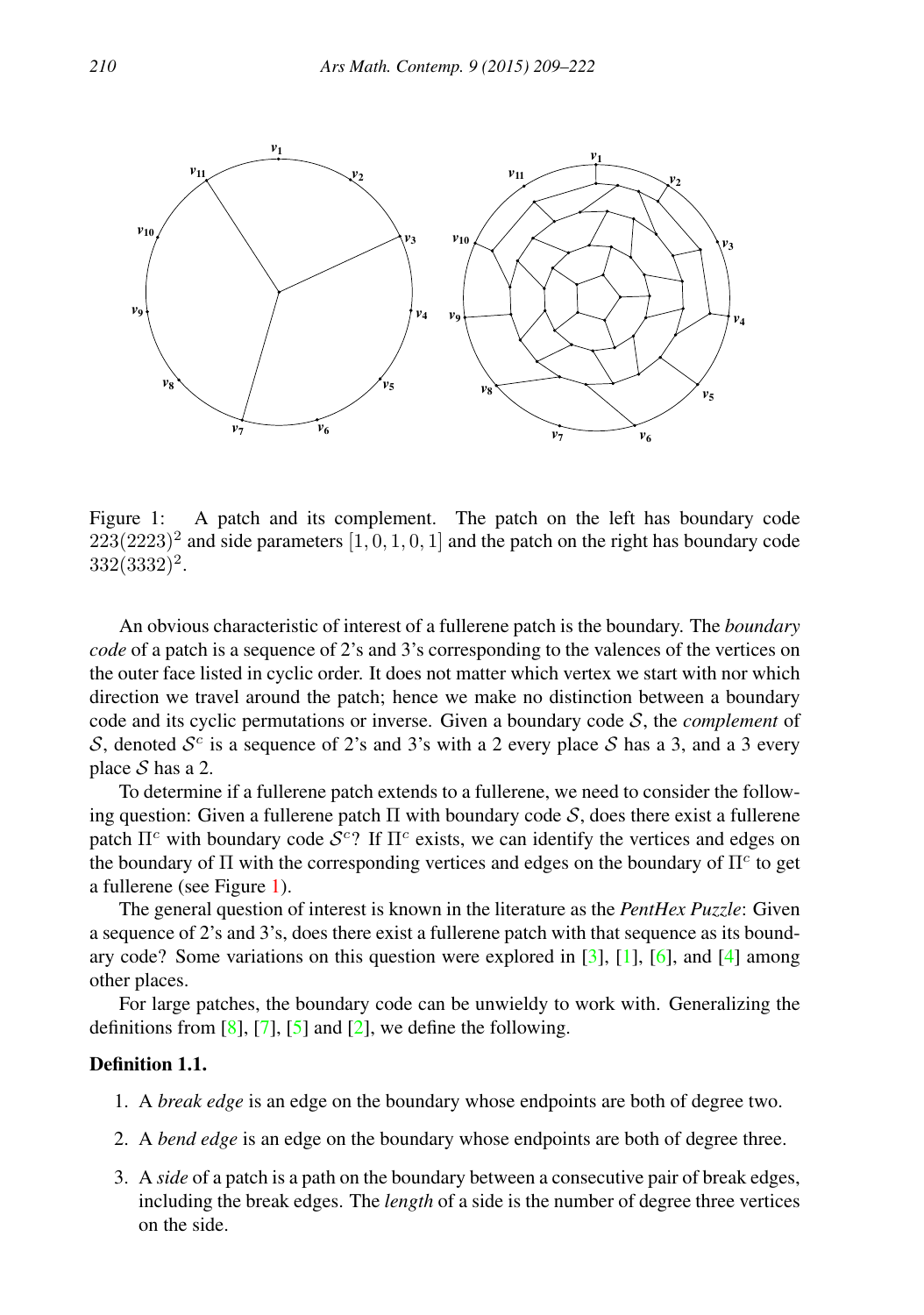

<span id="page-1-0"></span>Figure 1: A patch and its complement. The patch on the left has boundary code  $223(2223)^2$  and side parameters  $[1, 0, 1, 0, 1]$  and the patch on the right has boundary code 332(3332)<sup>2</sup> .

An obvious characteristic of interest of a fullerene patch is the boundary. The *boundary code* of a patch is a sequence of 2's and 3's corresponding to the valences of the vertices on the outer face listed in cyclic order. It does not matter which vertex we start with nor which direction we travel around the patch; hence we make no distinction between a boundary code and its cyclic permutations or inverse. Given a boundary code S, the *complement* of S, denoted  $S<sup>c</sup>$  is a sequence of 2's and 3's with a 2 every place S has a 3, and a 3 every place  $S$  has a 2.

To determine if a fullerene patch extends to a fullerene, we need to consider the following question: Given a fullerene patch  $\Pi$  with boundary code  $S$ , does there exist a fullerene patch  $\Pi^c$  with boundary code  $S^c$ ? If  $\Pi^c$  exists, we can identify the vertices and edges on the boundary of  $\Pi$  with the corresponding vertices and edges on the boundary of  $\Pi^c$  to get a fullerene (see Figure [1\)](#page-1-0).

The general question of interest is known in the literature as the *PentHex Puzzle*: Given a sequence of 2's and 3's, does there exist a fullerene patch with that sequence as its boundary code? Some variations on this question were explored in  $[3]$ ,  $[1]$ ,  $[6]$ , and  $[4]$  among other places.

For large patches, the boundary code can be unwieldy to work with. Generalizing the definitions from  $[8]$ ,  $[7]$ ,  $[5]$  and  $[2]$ , we define the following.

#### Definition 1.1.

- 1. A *break edge* is an edge on the boundary whose endpoints are both of degree two.
- 2. A *bend edge* is an edge on the boundary whose endpoints are both of degree three.
- 3. A *side* of a patch is a path on the boundary between a consecutive pair of break edges, including the break edges. The *length* of a side is the number of degree three vertices on the side.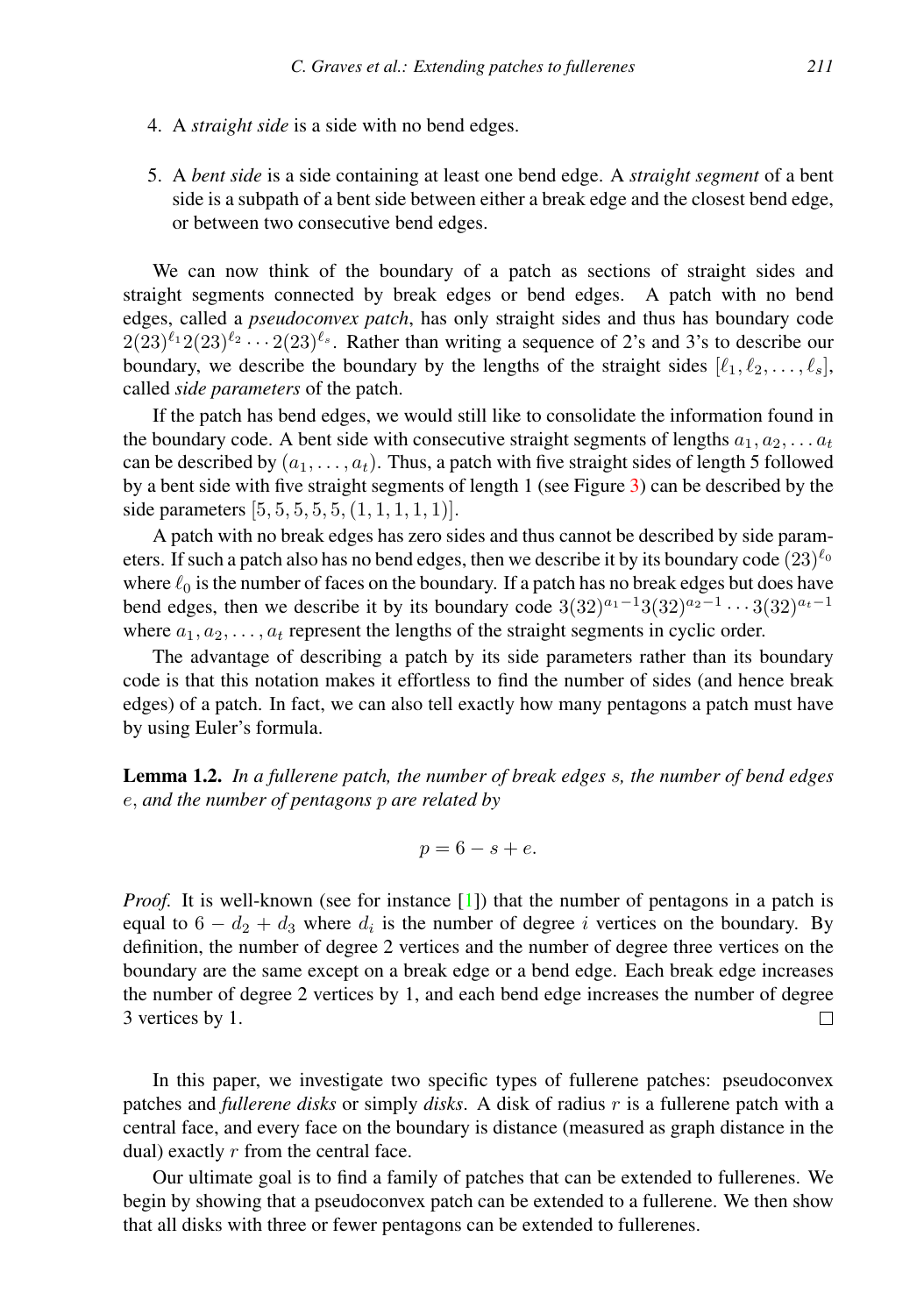- 4. A *straight side* is a side with no bend edges.
- 5. A *bent side* is a side containing at least one bend edge. A *straight segment* of a bent side is a subpath of a bent side between either a break edge and the closest bend edge, or between two consecutive bend edges.

We can now think of the boundary of a patch as sections of straight sides and straight segments connected by break edges or bend edges. A patch with no bend edges, called a *pseudoconvex patch*, has only straight sides and thus has boundary code  $2(23)^{\ell_1}2(23)^{\ell_2}\cdots 2(23)^{\ell_s}$ . Rather than writing a sequence of 2's and 3's to describe our boundary, we describe the boundary by the lengths of the straight sides  $[\ell_1, \ell_2, \ldots, \ell_s],$ called *side parameters* of the patch.

If the patch has bend edges, we would still like to consolidate the information found in the boundary code. A bent side with consecutive straight segments of lengths  $a_1, a_2, \ldots a_t$ can be described by  $(a_1, \ldots, a_t)$ . Thus, a patch with five straight sides of length 5 followed by a bent side with five straight segments of length 1 (see Figure [3\)](#page-4-0) can be described by the side parameters  $[5, 5, 5, 5, 5, (1, 1, 1, 1, 1)].$ 

A patch with no break edges has zero sides and thus cannot be described by side parameters. If such a patch also has no bend edges, then we describe it by its boundary code  $(23)^{\ell_0}$ where  $\ell_0$  is the number of faces on the boundary. If a patch has no break edges but does have bend edges, then we describe it by its boundary code  $3(32)^{a_1-1}3(32)^{a_2-1}\cdots3(32)^{a_t-1}$ where  $a_1, a_2, \ldots, a_t$  represent the lengths of the straight segments in cyclic order.

The advantage of describing a patch by its side parameters rather than its boundary code is that this notation makes it effortless to find the number of sides (and hence break edges) of a patch. In fact, we can also tell exactly how many pentagons a patch must have by using Euler's formula.

Lemma 1.2. *In a fullerene patch, the number of break edges* s*, the number of bend edges* e, *and the number of pentagons* p *are related by*

$$
p = 6 - s + e.
$$

*Proof.* It is well-known (see for instance [\[1\]](#page-13-1)) that the number of pentagons in a patch is equal to  $6 - d_2 + d_3$  where  $d_i$  is the number of degree i vertices on the boundary. By definition, the number of degree 2 vertices and the number of degree three vertices on the boundary are the same except on a break edge or a bend edge. Each break edge increases the number of degree 2 vertices by 1, and each bend edge increases the number of degree 3 vertices by 1.  $\Box$ 

In this paper, we investigate two specific types of fullerene patches: pseudoconvex patches and *fullerene disks* or simply *disks*. A disk of radius r is a fullerene patch with a central face, and every face on the boundary is distance (measured as graph distance in the dual) exactly  $r$  from the central face.

Our ultimate goal is to find a family of patches that can be extended to fullerenes. We begin by showing that a pseudoconvex patch can be extended to a fullerene. We then show that all disks with three or fewer pentagons can be extended to fullerenes.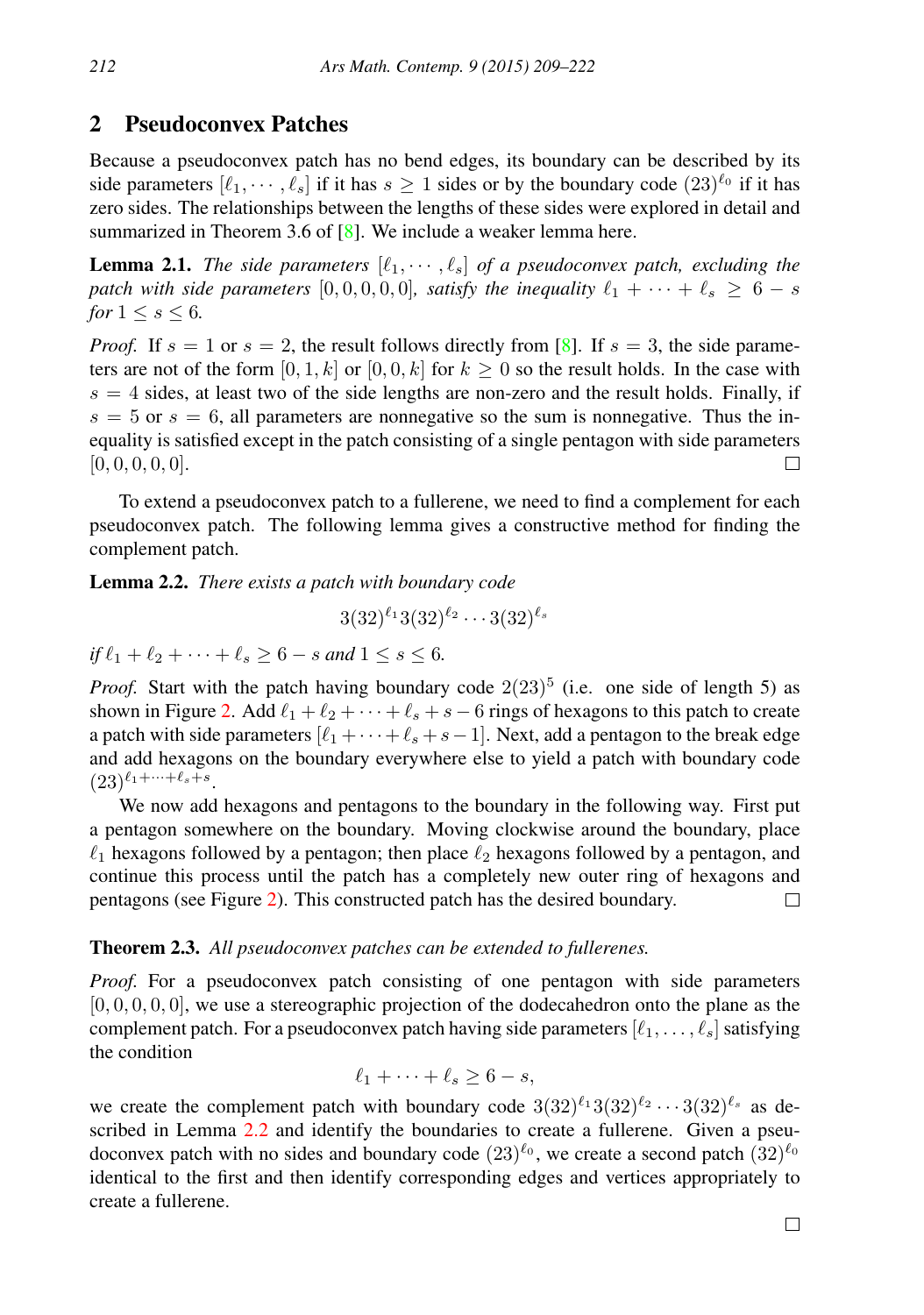## 2 Pseudoconvex Patches

Because a pseudoconvex patch has no bend edges, its boundary can be described by its side parameters  $[\ell_1, \cdots, \ell_s]$  if it has  $s \ge 1$  sides or by the boundary code  $(23)^{\ell_0}$  if it has zero sides. The relationships between the lengths of these sides were explored in detail and summarized in Theorem 3.6 of [\[8\]](#page-13-4). We include a weaker lemma here.

**Lemma 2.1.** *The side parameters*  $[\ell_1, \dots, \ell_s]$  *of a pseudoconvex patch, excluding the patch with side parameters* [0, 0, 0, 0, 0]*, satisfy the inequality*  $\ell_1 + \cdots + \ell_s \geq 6 - s$ *for*  $1 \leq s \leq 6$ *.* 

*Proof.* If  $s = 1$  or  $s = 2$ , the result follows directly from [\[8\]](#page-13-4). If  $s = 3$ , the side parameters are not of the form  $[0, 1, k]$  or  $[0, 0, k]$  for  $k \ge 0$  so the result holds. In the case with  $s = 4$  sides, at least two of the side lengths are non-zero and the result holds. Finally, if  $s = 5$  or  $s = 6$ , all parameters are nonnegative so the sum is nonnegative. Thus the inequality is satisfied except in the patch consisting of a single pentagon with side parameters  $[0, 0, 0, 0, 0].$ П

To extend a pseudoconvex patch to a fullerene, we need to find a complement for each pseudoconvex patch. The following lemma gives a constructive method for finding the complement patch.

<span id="page-3-0"></span>Lemma 2.2. *There exists a patch with boundary code*

$$
3(32)^{\ell_1}3(32)^{\ell_2}\cdots 3(32)^{\ell_s}
$$

*if*  $\ell_1 + \ell_2 + \cdots + \ell_s > 6 - s$  *and*  $1 \leq s \leq 6$ *.* 

*Proof.* Start with the patch having boundary code  $2(23)^5$  (i.e. one side of length 5) as shown in Figure [2.](#page-4-1) Add  $\ell_1 + \ell_2 + \cdots + \ell_s + s - 6$  rings of hexagons to this patch to create a patch with side parameters  $[\ell_1 + \cdots + \ell_s + s-1]$ . Next, add a pentagon to the break edge and add hexagons on the boundary everywhere else to yield a patch with boundary code  $(23)^{\ell_1+\cdots+\ell_s+s}.$ 

We now add hexagons and pentagons to the boundary in the following way. First put a pentagon somewhere on the boundary. Moving clockwise around the boundary, place  $\ell_1$  hexagons followed by a pentagon; then place  $\ell_2$  hexagons followed by a pentagon, and continue this process until the patch has a completely new outer ring of hexagons and pentagons (see Figure [2\)](#page-4-1). This constructed patch has the desired boundary.  $\Box$ 

### <span id="page-3-1"></span>Theorem 2.3. *All pseudoconvex patches can be extended to fullerenes.*

*Proof.* For a pseudoconvex patch consisting of one pentagon with side parameters  $[0, 0, 0, 0, 0]$ , we use a stereographic projection of the dodecahedron onto the plane as the complement patch. For a pseudoconvex patch having side parameters  $[\ell_1, \ldots, \ell_s]$  satisfying the condition

$$
\ell_1 + \cdots + \ell_s \ge 6 - s,
$$

we create the complement patch with boundary code  $3(32)^{\ell_1}3(32)^{\ell_2}\cdots3(32)^{\ell_s}$  as described in Lemma [2.2](#page-3-0) and identify the boundaries to create a fullerene. Given a pseudoconvex patch with no sides and boundary code  $(23)^{\ell_0}$ , we create a second patch  $(32)^{\ell_0}$ identical to the first and then identify corresponding edges and vertices appropriately to create a fullerene.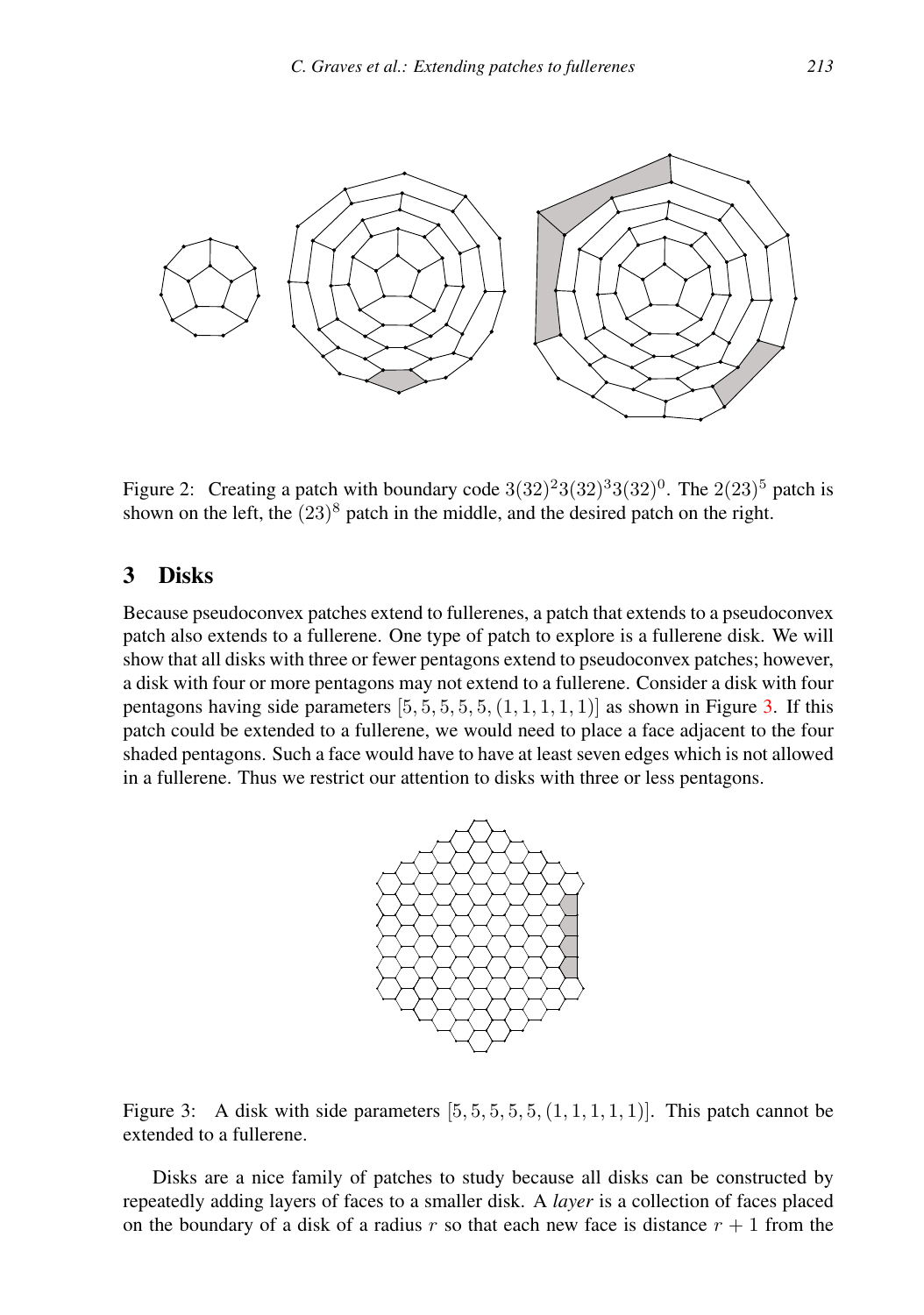

<span id="page-4-1"></span>Figure 2: Creating a patch with boundary code  $3(32)^{2}3(32)^{3}3(32)^{0}$ . The  $2(23)^{5}$  patch is shown on the left, the  $(23)^8$  patch in the middle, and the desired patch on the right.

## 3 Disks

Because pseudoconvex patches extend to fullerenes, a patch that extends to a pseudoconvex patch also extends to a fullerene. One type of patch to explore is a fullerene disk. We will show that all disks with three or fewer pentagons extend to pseudoconvex patches; however, a disk with four or more pentagons may not extend to a fullerene. Consider a disk with four pentagons having side parameters  $[5, 5, 5, 5, 5, (1, 1, 1, 1, 1)]$  as shown in Figure [3.](#page-4-0) If this patch could be extended to a fullerene, we would need to place a face adjacent to the four shaded pentagons. Such a face would have to have at least seven edges which is not allowed in a fullerene. Thus we restrict our attention to disks with three or less pentagons.



<span id="page-4-0"></span>Figure 3: A disk with side parameters  $[5, 5, 5, 5, 5, 1, 1, 1, 1]$ . This patch cannot be extended to a fullerene.

Disks are a nice family of patches to study because all disks can be constructed by repeatedly adding layers of faces to a smaller disk. A *layer* is a collection of faces placed on the boundary of a disk of a radius r so that each new face is distance  $r + 1$  from the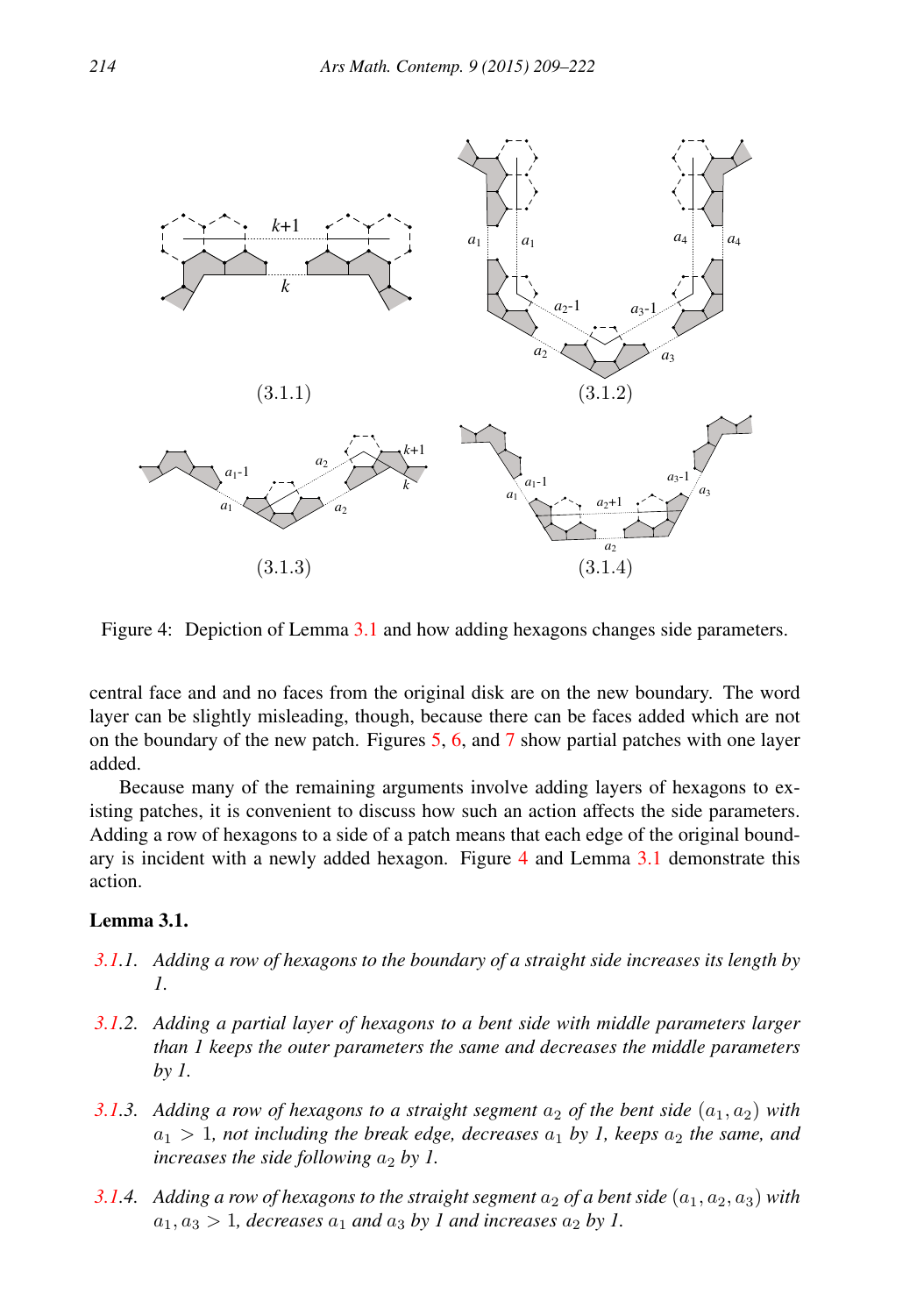

<span id="page-5-1"></span>Figure 4: Depiction of Lemma [3.1](#page-5-0) and how adding hexagons changes side parameters.

central face and and no faces from the original disk are on the new boundary. The word layer can be slightly misleading, though, because there can be faces added which are not on the boundary of the new patch. Figures [5,](#page-7-0) [6,](#page-9-0) and [7](#page-9-1) show partial patches with one layer added.

Because many of the remaining arguments involve adding layers of hexagons to existing patches, it is convenient to discuss how such an action affects the side parameters. Adding a row of hexagons to a side of a patch means that each edge of the original boundary is incident with a newly added hexagon. Figure [4](#page-5-1) and Lemma [3.1](#page-5-0) demonstrate this action.

## <span id="page-5-0"></span>Lemma 3.1.

- *[3.1.](#page-5-0)1. Adding a row of hexagons to the boundary of a straight side increases its length by 1.*
- *[3.1.](#page-5-0)2. Adding a partial layer of hexagons to a bent side with middle parameters larger than 1 keeps the outer parameters the same and decreases the middle parameters by 1.*
- *[3.1.](#page-5-0)3.* Adding a row of hexagons to a straight segment  $a_2$  of the bent side  $(a_1, a_2)$  with  $a_1 > 1$ , not including the break edge, decreases  $a_1$  by 1, keeps  $a_2$  the same, and *increases the side following*  $a_2$  *by 1.*
- *[3.1.](#page-5-0)4. Adding a row of hexagons to the straight segment*  $a_2$  *of a bent side*  $(a_1, a_2, a_3)$  *with*  $a_1, a_3 > 1$ , decreases  $a_1$  and  $a_3$  by 1 and increases  $a_2$  by 1.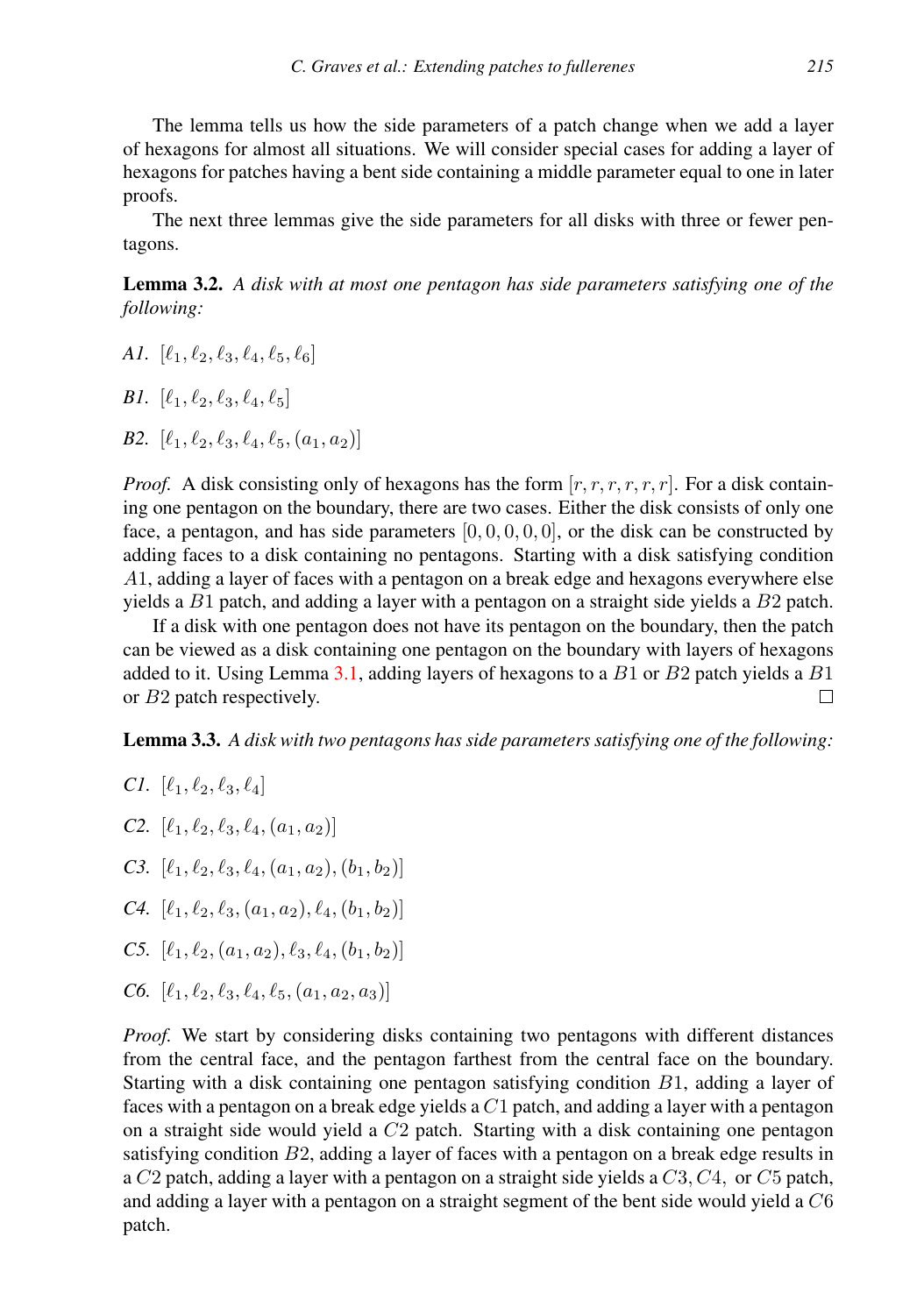The lemma tells us how the side parameters of a patch change when we add a layer of hexagons for almost all situations. We will consider special cases for adding a layer of hexagons for patches having a bent side containing a middle parameter equal to one in later proofs.

The next three lemmas give the side parameters for all disks with three or fewer pentagons.

<span id="page-6-1"></span>Lemma 3.2. *A disk with at most one pentagon has side parameters satisfying one of the following:*

*A1.*  $[\ell_1, \ell_2, \ell_3, \ell_4, \ell_5, \ell_6]$ 

*B1.*  $[\ell_1, \ell_2, \ell_3, \ell_4, \ell_5]$ 

*B2.*  $[\ell_1, \ell_2, \ell_3, \ell_4, \ell_5, (a_1, a_2)]$ 

*Proof.* A disk consisting only of hexagons has the form  $[r, r, r, r, r, r]$ . For a disk containing one pentagon on the boundary, there are two cases. Either the disk consists of only one face, a pentagon, and has side parameters  $[0, 0, 0, 0, 0]$ , or the disk can be constructed by adding faces to a disk containing no pentagons. Starting with a disk satisfying condition A1, adding a layer of faces with a pentagon on a break edge and hexagons everywhere else yields a  $B1$  patch, and adding a layer with a pentagon on a straight side yields a  $B2$  patch.

If a disk with one pentagon does not have its pentagon on the boundary, then the patch can be viewed as a disk containing one pentagon on the boundary with layers of hexagons added to it. Using Lemma  $3.1$ , adding layers of hexagons to a  $B1$  or  $B2$  patch yields a  $B1$ or B2 patch respectively. П

<span id="page-6-0"></span>Lemma 3.3. *A disk with two pentagons has side parameters satisfying one of the following:*

*Cl.* 
$$
[\ell_1, \ell_2, \ell_3, \ell_4]
$$

- *C2.*  $[\ell_1, \ell_2, \ell_3, \ell_4, (a_1, a_2)]$
- *C3.*  $[\ell_1, \ell_2, \ell_3, \ell_4, (a_1, a_2), (b_1, b_2)]$
- *C4.*  $[\ell_1, \ell_2, \ell_3, (a_1, a_2), \ell_4, (b_1, b_2)]$
- *C5.*  $[\ell_1, \ell_2, (a_1, a_2), \ell_3, \ell_4, (b_1, b_2)]$
- *C6.*  $[\ell_1, \ell_2, \ell_3, \ell_4, \ell_5, (a_1, a_2, a_3)]$

*Proof.* We start by considering disks containing two pentagons with different distances from the central face, and the pentagon farthest from the central face on the boundary. Starting with a disk containing one pentagon satisfying condition  $B1$ , adding a layer of faces with a pentagon on a break edge yields a  $C1$  patch, and adding a layer with a pentagon on a straight side would yield a  $C2$  patch. Starting with a disk containing one pentagon satisfying condition  $B2$ , adding a layer of faces with a pentagon on a break edge results in a  $C_2$  patch, adding a layer with a pentagon on a straight side yields a  $C_3$ ,  $C_4$ , or  $C_5$  patch, and adding a layer with a pentagon on a straight segment of the bent side would yield a  $C6$ patch.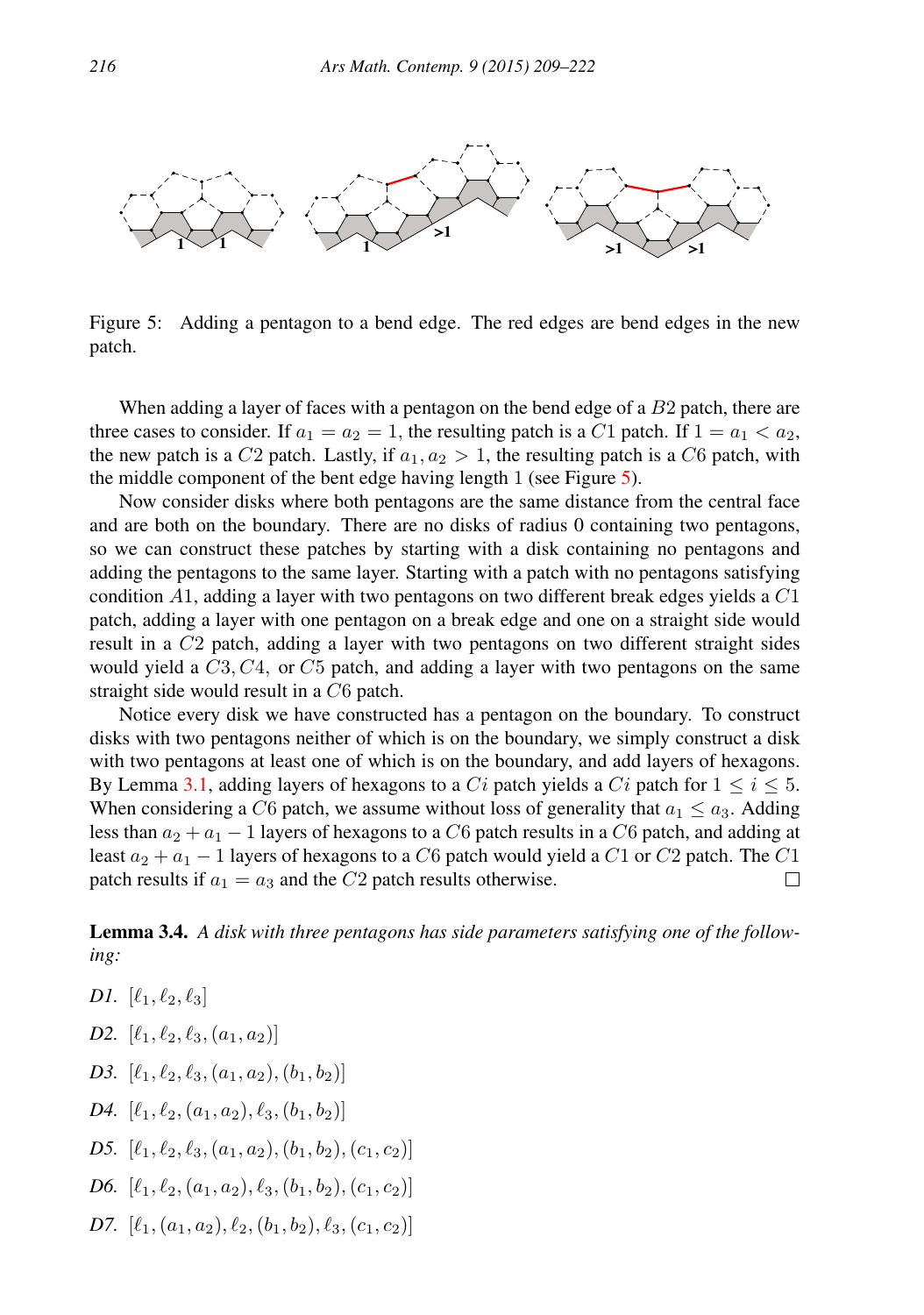

<span id="page-7-0"></span>Figure 5: Adding a pentagon to a bend edge. The red edges are bend edges in the new patch.

When adding a layer of faces with a pentagon on the bend edge of a B2 patch, there are three cases to consider. If  $a_1 = a_2 = 1$ , the resulting patch is a C1 patch. If  $1 = a_1 < a_2$ , the new patch is a C2 patch. Lastly, if  $a_1, a_2 > 1$ , the resulting patch is a C6 patch, with the middle component of the bent edge having length 1 (see Figure [5\)](#page-7-0).

Now consider disks where both pentagons are the same distance from the central face and are both on the boundary. There are no disks of radius 0 containing two pentagons, so we can construct these patches by starting with a disk containing no pentagons and adding the pentagons to the same layer. Starting with a patch with no pentagons satisfying condition  $A1$ , adding a layer with two pentagons on two different break edges yields a  $C1$ patch, adding a layer with one pentagon on a break edge and one on a straight side would result in a C2 patch, adding a layer with two pentagons on two different straight sides would yield a  $C3$ ,  $C4$ , or  $C5$  patch, and adding a layer with two pentagons on the same straight side would result in a C6 patch.

Notice every disk we have constructed has a pentagon on the boundary. To construct disks with two pentagons neither of which is on the boundary, we simply construct a disk with two pentagons at least one of which is on the boundary, and add layers of hexagons. By Lemma [3.1,](#page-5-0) adding layers of hexagons to a Ci patch yields a Ci patch for  $1 \le i \le 5$ . When considering a C6 patch, we assume without loss of generality that  $a_1 \le a_3$ . Adding less than  $a_2 + a_1 - 1$  layers of hexagons to a C6 patch results in a C6 patch, and adding at least  $a_2 + a_1 - 1$  layers of hexagons to a C6 patch would yield a C1 or C2 patch. The C1 patch results if  $a_1 = a_3$  and the C2 patch results otherwise.  $\Box$ 

<span id="page-7-1"></span>Lemma 3.4. *A disk with three pentagons has side parameters satisfying one of the following:*

- *D1.*  $[\ell_1, \ell_2, \ell_3]$
- *D2.*  $[\ell_1, \ell_2, \ell_3, (a_1, a_2)]$
- *D3.*  $[\ell_1, \ell_2, \ell_3, (a_1, a_2), (b_1, b_2)]$
- *D4.*  $[\ell_1, \ell_2, (a_1, a_2), \ell_3, (b_1, b_2)]$
- *D5.*  $[\ell_1, \ell_2, \ell_3, (a_1, a_2), (b_1, b_2), (c_1, c_2)]$
- *D6.*  $[\ell_1, \ell_2, (a_1, a_2), \ell_3, (b_1, b_2), (c_1, c_2)]$
- *D7.*  $[\ell_1, (a_1, a_2), \ell_2, (b_1, b_2), \ell_3, (c_1, c_2)]$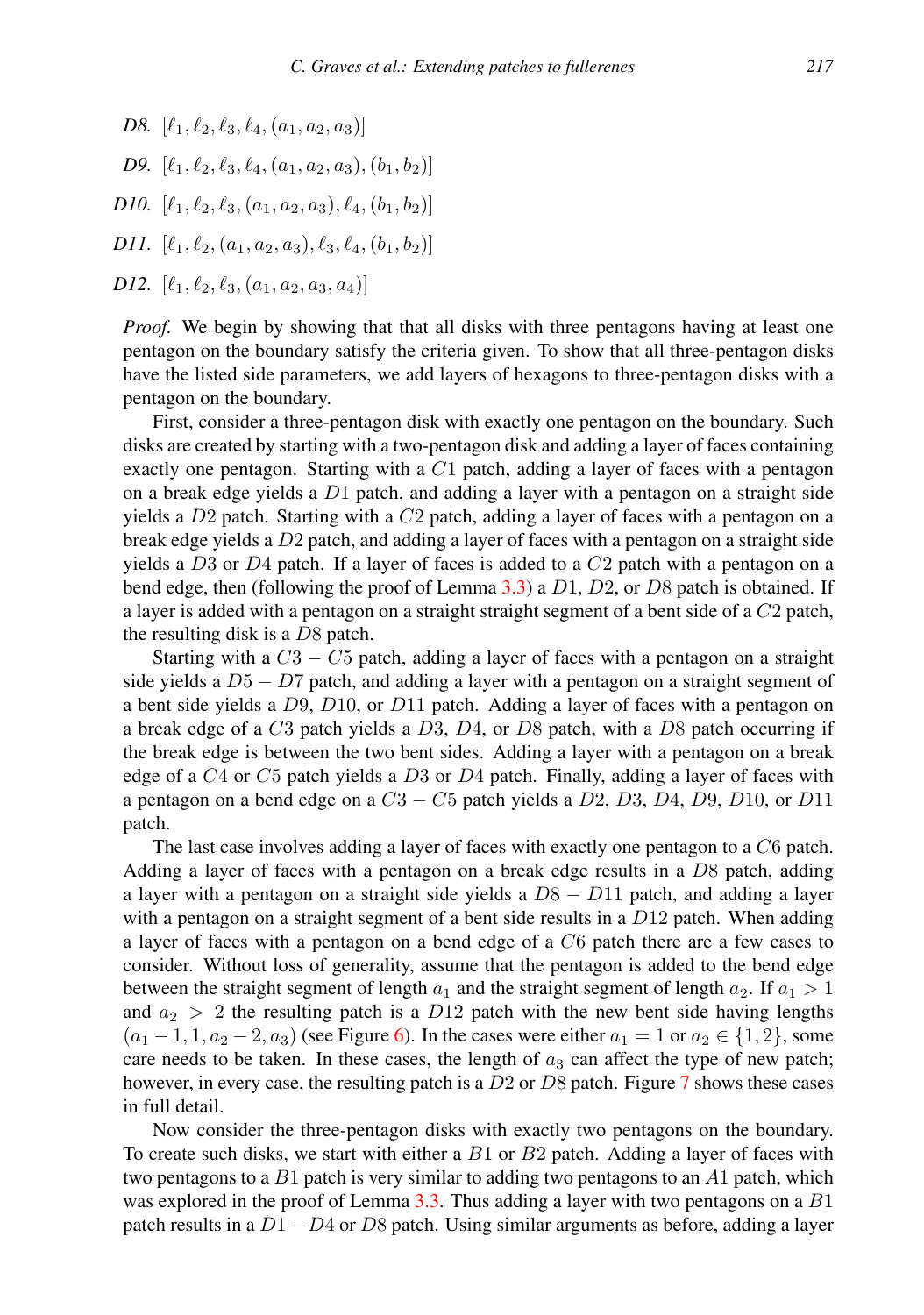- *D8.*  $[\ell_1, \ell_2, \ell_3, \ell_4, (a_1, a_2, a_3)]$
- *D9.*  $[\ell_1, \ell_2, \ell_3, \ell_4, (a_1, a_2, a_3), (b_1, b_2)]$
- *D10.*  $[\ell_1, \ell_2, \ell_3, (a_1, a_2, a_3), \ell_4, (b_1, b_2)]$
- *D11.*  $[\ell_1, \ell_2, (a_1, a_2, a_3), \ell_3, \ell_4, (b_1, b_2)]$

```
D12. [\ell_1, \ell_2, \ell_3, (a_1, a_2, a_3, a_4)]
```
*Proof.* We begin by showing that that all disks with three pentagons having at least one pentagon on the boundary satisfy the criteria given. To show that all three-pentagon disks have the listed side parameters, we add layers of hexagons to three-pentagon disks with a pentagon on the boundary.

First, consider a three-pentagon disk with exactly one pentagon on the boundary. Such disks are created by starting with a two-pentagon disk and adding a layer of faces containing exactly one pentagon. Starting with a  $C1$  patch, adding a layer of faces with a pentagon on a break edge yields a  $D1$  patch, and adding a layer with a pentagon on a straight side yields a  $D2$  patch. Starting with a  $C2$  patch, adding a layer of faces with a pentagon on a break edge yields a D2 patch, and adding a layer of faces with a pentagon on a straight side yields a D3 or D4 patch. If a layer of faces is added to a  $C2$  patch with a pentagon on a bend edge, then (following the proof of Lemma [3.3\)](#page-6-0) a  $D1$ ,  $D2$ , or  $D8$  patch is obtained. If a layer is added with a pentagon on a straight straight segment of a bent side of a C2 patch, the resulting disk is a  $D8$  patch.

Starting with a  $C3 - C5$  patch, adding a layer of faces with a pentagon on a straight side yields a  $D5 - D7$  patch, and adding a layer with a pentagon on a straight segment of a bent side yields a  $D9$ ,  $D10$ , or  $D11$  patch. Adding a layer of faces with a pentagon on a break edge of a  $C3$  patch yields a  $D3$ ,  $D4$ , or  $D8$  patch, with a  $D8$  patch occurring if the break edge is between the two bent sides. Adding a layer with a pentagon on a break edge of a  $C_4$  or  $C_5$  patch yields a  $D_3$  or  $D_4$  patch. Finally, adding a layer of faces with a pentagon on a bend edge on a  $C3 - C5$  patch yields a  $D2$ ,  $D3$ ,  $D4$ ,  $D9$ ,  $D10$ , or  $D11$ patch.

The last case involves adding a layer of faces with exactly one pentagon to a C6 patch. Adding a layer of faces with a pentagon on a break edge results in a  $D8$  patch, adding a layer with a pentagon on a straight side yields a  $D8 - D11$  patch, and adding a layer with a pentagon on a straight segment of a bent side results in a  $D12$  patch. When adding a layer of faces with a pentagon on a bend edge of a C6 patch there are a few cases to consider. Without loss of generality, assume that the pentagon is added to the bend edge between the straight segment of length  $a_1$  and the straight segment of length  $a_2$ . If  $a_1 > 1$ and  $a_2 > 2$  the resulting patch is a D12 patch with the new bent side having lengths  $(a_1 - 1, 1, a_2 - 2, a_3)$  (see Figure [6\)](#page-9-0). In the cases were either  $a_1 = 1$  or  $a_2 \in \{1, 2\}$ , some care needs to be taken. In these cases, the length of  $a_3$  can affect the type of new patch; however, in every case, the resulting patch is a  $D2$  or  $D8$  patch. Figure [7](#page-9-1) shows these cases in full detail.

Now consider the three-pentagon disks with exactly two pentagons on the boundary. To create such disks, we start with either a  $B1$  or  $B2$  patch. Adding a layer of faces with two pentagons to a  $B1$  patch is very similar to adding two pentagons to an  $A1$  patch, which was explored in the proof of Lemma [3.3.](#page-6-0) Thus adding a layer with two pentagons on a  $B1$ patch results in a  $D1 - D4$  or D8 patch. Using similar arguments as before, adding a layer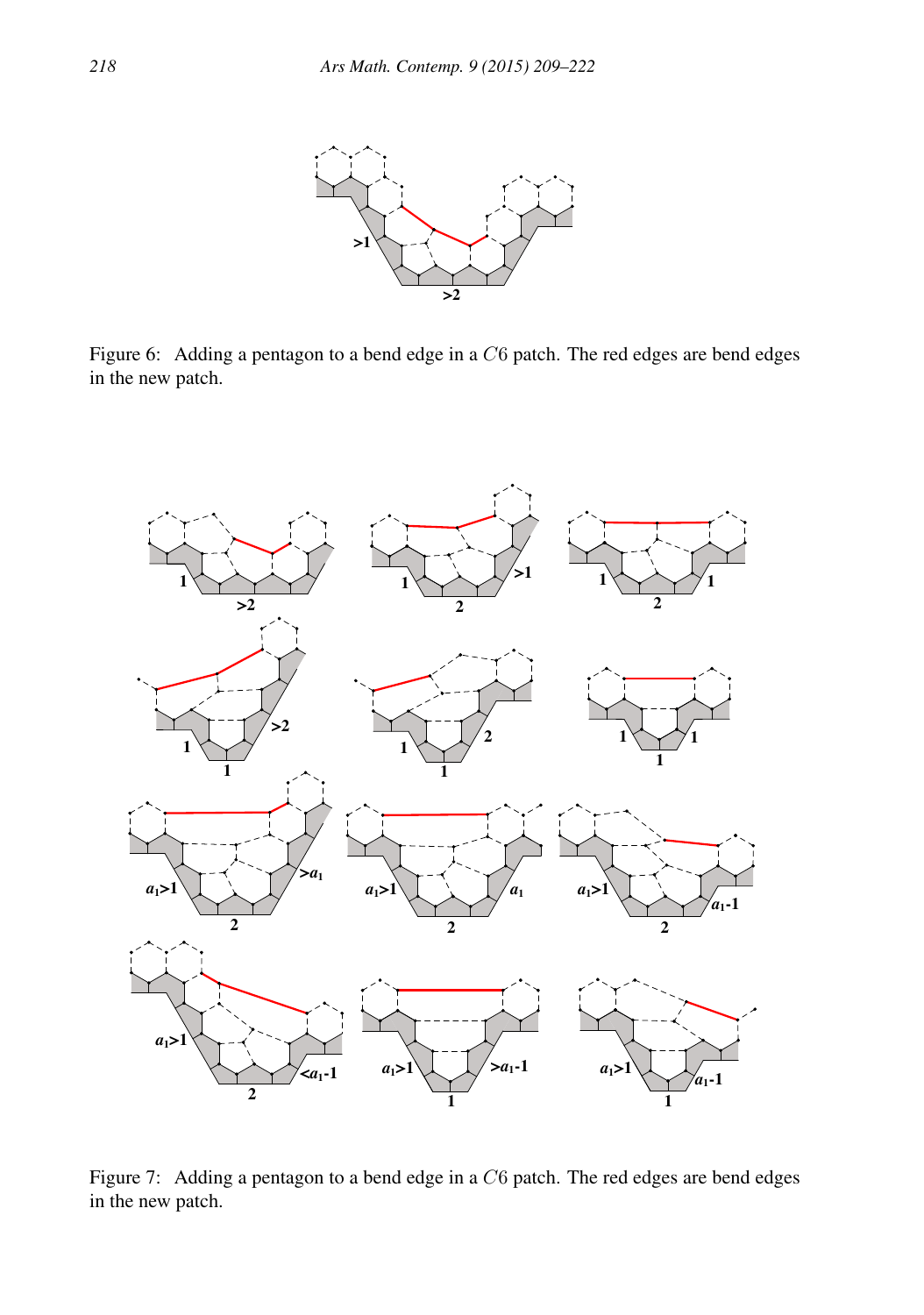

<span id="page-9-0"></span>Figure 6: Adding a pentagon to a bend edge in a  $C6$  patch. The red edges are bend edges in the new patch.



<span id="page-9-1"></span>Figure 7: Adding a pentagon to a bend edge in a  $C6$  patch. The red edges are bend edges in the new patch.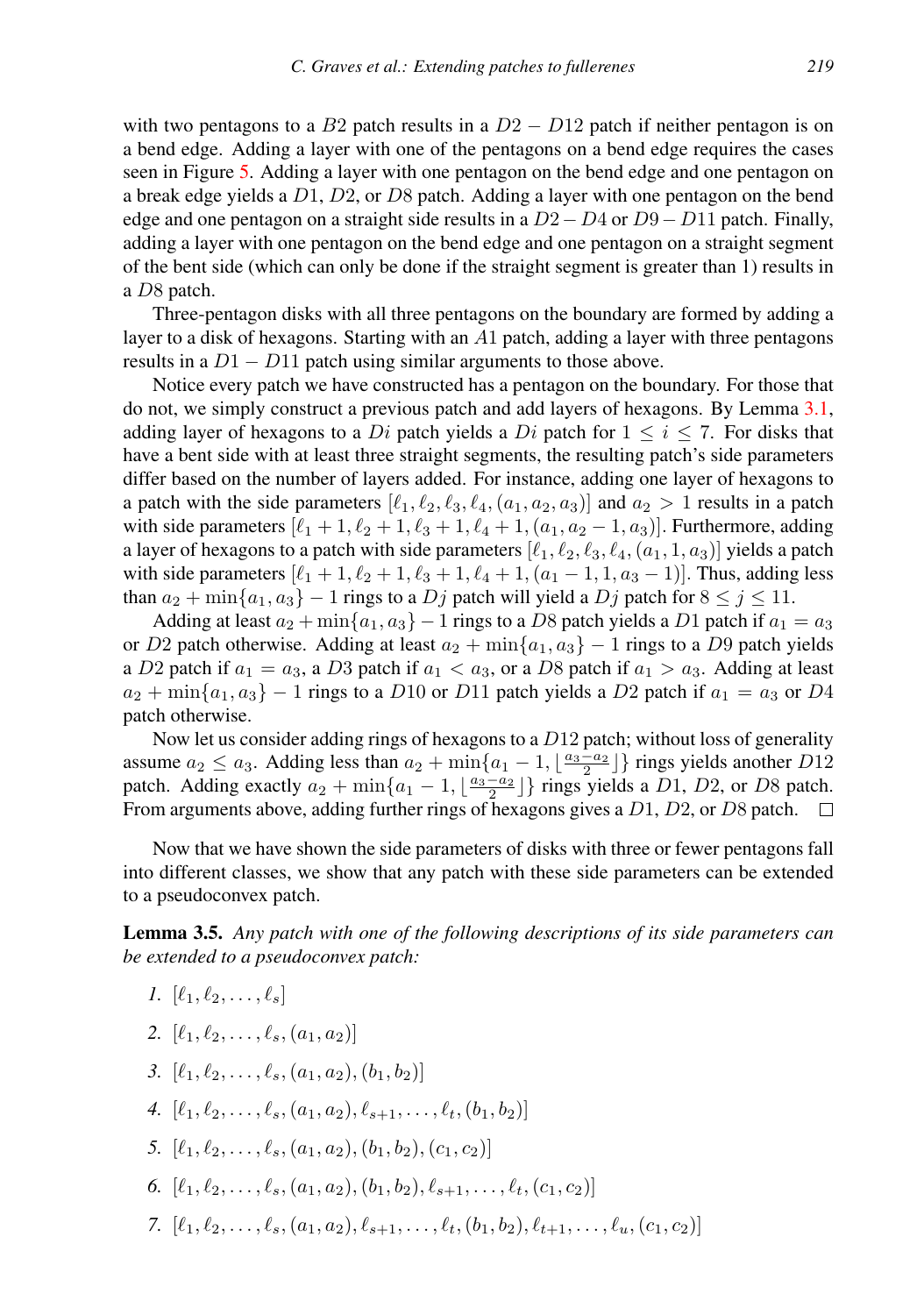with two pentagons to a B2 patch results in a  $D2 - D12$  patch if neither pentagon is on a bend edge. Adding a layer with one of the pentagons on a bend edge requires the cases seen in Figure [5.](#page-7-0) Adding a layer with one pentagon on the bend edge and one pentagon on a break edge yields a  $D1$ ,  $D2$ , or  $D8$  patch. Adding a layer with one pentagon on the bend edge and one pentagon on a straight side results in a  $D2-D4$  or  $D9-D11$  patch. Finally, adding a layer with one pentagon on the bend edge and one pentagon on a straight segment of the bent side (which can only be done if the straight segment is greater than 1) results in a D8 patch.

Three-pentagon disks with all three pentagons on the boundary are formed by adding a layer to a disk of hexagons. Starting with an  $A1$  patch, adding a layer with three pentagons results in a  $D1 - D11$  patch using similar arguments to those above.

Notice every patch we have constructed has a pentagon on the boundary. For those that do not, we simply construct a previous patch and add layers of hexagons. By Lemma [3.1,](#page-5-0) adding layer of hexagons to a Di patch yields a Di patch for  $1 \le i \le 7$ . For disks that have a bent side with at least three straight segments, the resulting patch's side parameters differ based on the number of layers added. For instance, adding one layer of hexagons to a patch with the side parameters  $[\ell_1, \ell_2, \ell_3, \ell_4, (a_1, a_2, a_3)]$  and  $a_2 > 1$  results in a patch with side parameters  $[\ell_1 + 1, \ell_2 + 1, \ell_3 + 1, \ell_4 + 1, (a_1, a_2 - 1, a_3)]$ . Furthermore, adding a layer of hexagons to a patch with side parameters  $[\ell_1, \ell_2, \ell_3, \ell_4, (a_1, 1, a_3)]$  yields a patch with side parameters  $[\ell_1 + 1, \ell_2 + 1, \ell_3 + 1, \ell_4 + 1, (a_1 - 1, 1, a_3 - 1)]$ . Thus, adding less than  $a_2 + \min\{a_1, a_3\} - 1$  rings to a  $Dj$  patch will yield a  $Dj$  patch for  $8 \le j \le 11$ .

Adding at least  $a_2 + \min\{a_1, a_3\} - 1$  rings to a D8 patch yields a D1 patch if  $a_1 = a_3$ or D2 patch otherwise. Adding at least  $a_2 + \min\{a_1, a_3\} - 1$  rings to a D9 patch yields a D2 patch if  $a_1 = a_3$ , a D3 patch if  $a_1 < a_3$ , or a D8 patch if  $a_1 > a_3$ . Adding at least  $a_2 + \min\{a_1, a_3\} - 1$  rings to a D10 or D11 patch yields a D2 patch if  $a_1 = a_3$  or D4 patch otherwise.

Now let us consider adding rings of hexagons to a  $D12$  patch; without loss of generality assume  $a_2 \le a_3$ . Adding less than  $a_2 + \min\{a_1 - 1, \lfloor \frac{a_3 - a_2}{2} \rfloor\}$  rings yields another D12 assume  $a_2 \le a_3$ . Adding ress than  $a_2 + \min\{a_1 - 1, \lfloor \frac{a_3 - a_2}{2} \rfloor\}$  rings yields a D1, D2, or D8 patch. From arguments above, adding further rings of hexagons gives a D1, D2, or D8 patch.  $\Box$ 

Now that we have shown the side parameters of disks with three or fewer pentagons fall into different classes, we show that any patch with these side parameters can be extended to a pseudoconvex patch.

Lemma 3.5. *Any patch with one of the following descriptions of its side parameters can be extended to a pseudoconvex patch:*

- *1.*  $[\ell_1, \ell_2, \ldots, \ell_s]$
- 2.  $[\ell_1, \ell_2, \ldots, \ell_s, (a_1, a_2)]$
- *3.*  $[\ell_1, \ell_2, \ldots, \ell_s, (a_1, a_2), (b_1, b_2)]$
- 4.  $[\ell_1, \ell_2, \ldots, \ell_s, (a_1, a_2), \ell_{s+1}, \ldots, \ell_t, (b_1, b_2)]$
- *5.*  $[\ell_1, \ell_2, \ldots, \ell_s, (a_1, a_2), (b_1, b_2), (c_1, c_2)]$
- 6.  $[\ell_1, \ell_2, \ldots, \ell_s, (a_1, a_2), (b_1, b_2), \ell_{s+1}, \ldots, \ell_t, (c_1, c_2)]$
- *7.*  $[\ell_1, \ell_2, \ldots, \ell_s, (a_1, a_2), \ell_{s+1}, \ldots, \ell_t, (b_1, b_2), \ell_{t+1}, \ldots, \ell_u, (c_1, c_2)]$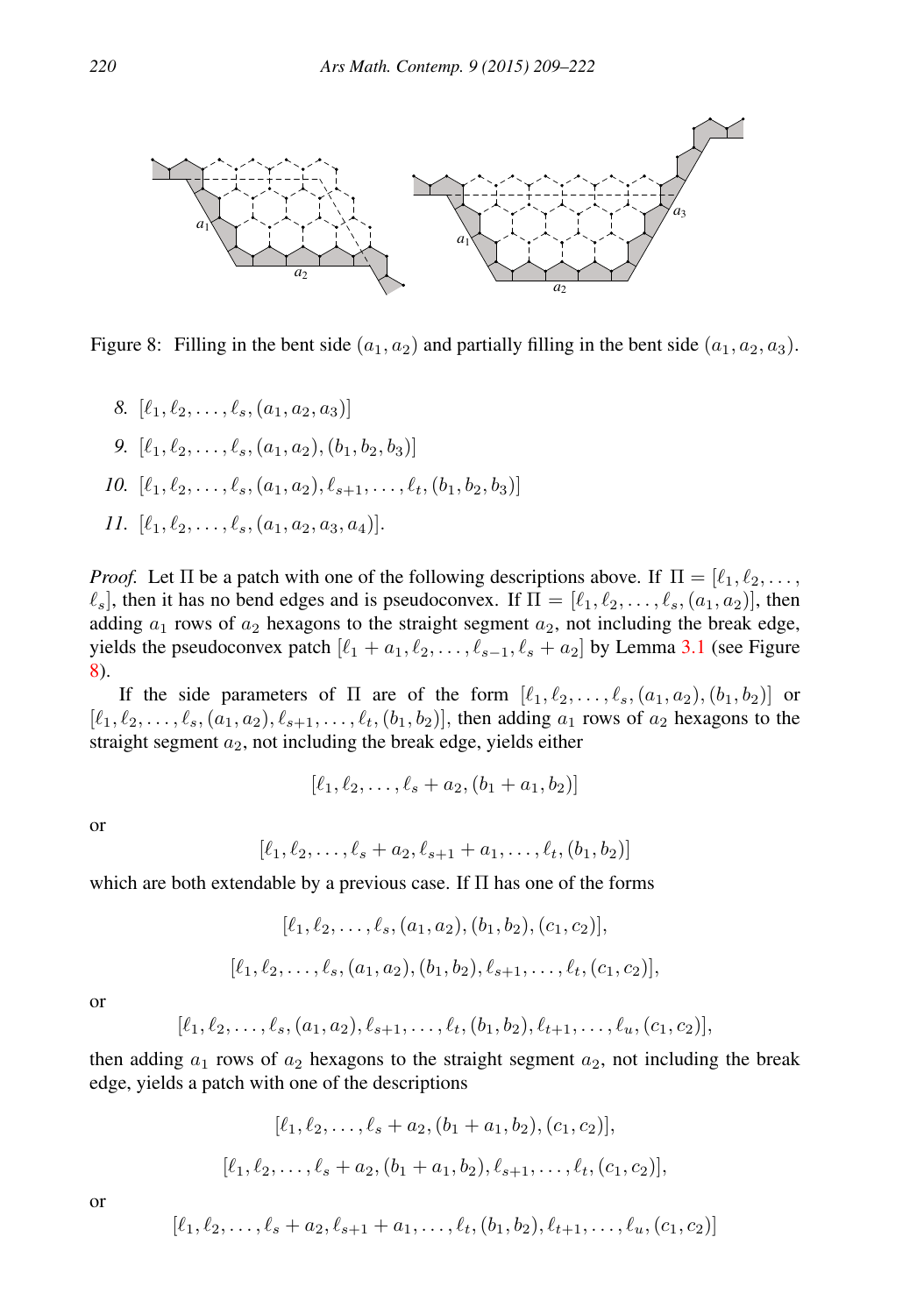

<span id="page-11-0"></span>Figure 8: Filling in the bent side  $(a_1, a_2)$  and partially filling in the bent side  $(a_1, a_2, a_3)$ .

- *8.*  $[\ell_1, \ell_2, \ldots, \ell_s, (a_1, a_2, a_3)]$ *9.*  $[\ell_1, \ell_2, \ldots, \ell_s, (a_1, a_2), (b_1, b_2, b_3)]$
- *10.*  $[\ell_1, \ell_2, \ldots, \ell_s, (a_1, a_2), \ell_{s+1}, \ldots, \ell_t, (b_1, b_2, b_3)]$
- <span id="page-11-1"></span>*11.*  $[\ell_1, \ell_2, \ldots, \ell_s, (a_1, a_2, a_3, a_4)].$

*Proof.* Let  $\Pi$  be a patch with one of the following descriptions above. If  $\Pi = [\ell_1, \ell_2, \dots, \ell_k]$  $\ell_s$ , then it has no bend edges and is pseudoconvex. If  $\Pi = [\ell_1, \ell_2, \ldots, \ell_s, (a_1, a_2)]$ , then adding  $a_1$  rows of  $a_2$  hexagons to the straight segment  $a_2$ , not including the break edge, yields the pseudoconvex patch  $[\ell_1 + a_1, \ell_2, \ldots, \ell_{s-1}, \ell_s + a_2]$  by Lemma [3.1](#page-5-0) (see Figure [8\)](#page-11-0).

If the side parameters of  $\Pi$  are of the form  $[\ell_1, \ell_2, \ldots, \ell_s, (a_1, a_2), (b_1, b_2)]$  or  $[\ell_1, \ell_2, \ldots, \ell_s, (a_1, a_2), \ell_{s+1}, \ldots, \ell_t, (b_1, b_2)]$ , then adding  $a_1$  rows of  $a_2$  hexagons to the straight segment  $a_2$ , not including the break edge, yields either

$$
[\ell_1, \ell_2, \ldots, \ell_s + a_2, (b_1 + a_1, b_2)]
$$

or

$$
[\ell_1, \ell_2, \ldots, \ell_s + a_2, \ell_{s+1} + a_1, \ldots, \ell_t, (b_1, b_2)]
$$

which are both extendable by a previous case. If  $\Pi$  has one of the forms

$$
[\ell_1, \ell_2, \ldots, \ell_s, (a_1, a_2), (b_1, b_2), (c_1, c_2)],
$$
  

$$
[\ell_1, \ell_2, \ldots, \ell_s, (a_1, a_2), (b_1, b_2), \ell_{s+1}, \ldots, \ell_t, (c_1, c_2)],
$$

or

$$
[\ell_1, \ell_2, \ldots, \ell_s, (a_1, a_2), \ell_{s+1}, \ldots, \ell_t, (b_1, b_2), \ell_{t+1}, \ldots, \ell_u, (c_1, c_2)],
$$

then adding  $a_1$  rows of  $a_2$  hexagons to the straight segment  $a_2$ , not including the break edge, yields a patch with one of the descriptions

$$
[\ell_1, \ell_2, \dots, \ell_s + a_2, (b_1 + a_1, b_2), (c_1, c_2)],
$$
  

$$
[\ell_1, \ell_2, \dots, \ell_s + a_2, (b_1 + a_1, b_2), \ell_{s+1}, \dots, \ell_t, (c_1, c_2)],
$$

or

$$
[\ell_1, \ell_2, \ldots, \ell_s + a_2, \ell_{s+1} + a_1, \ldots, \ell_t, (b_1, b_2), \ell_{t+1}, \ldots, \ell_u, (c_1, c_2)]
$$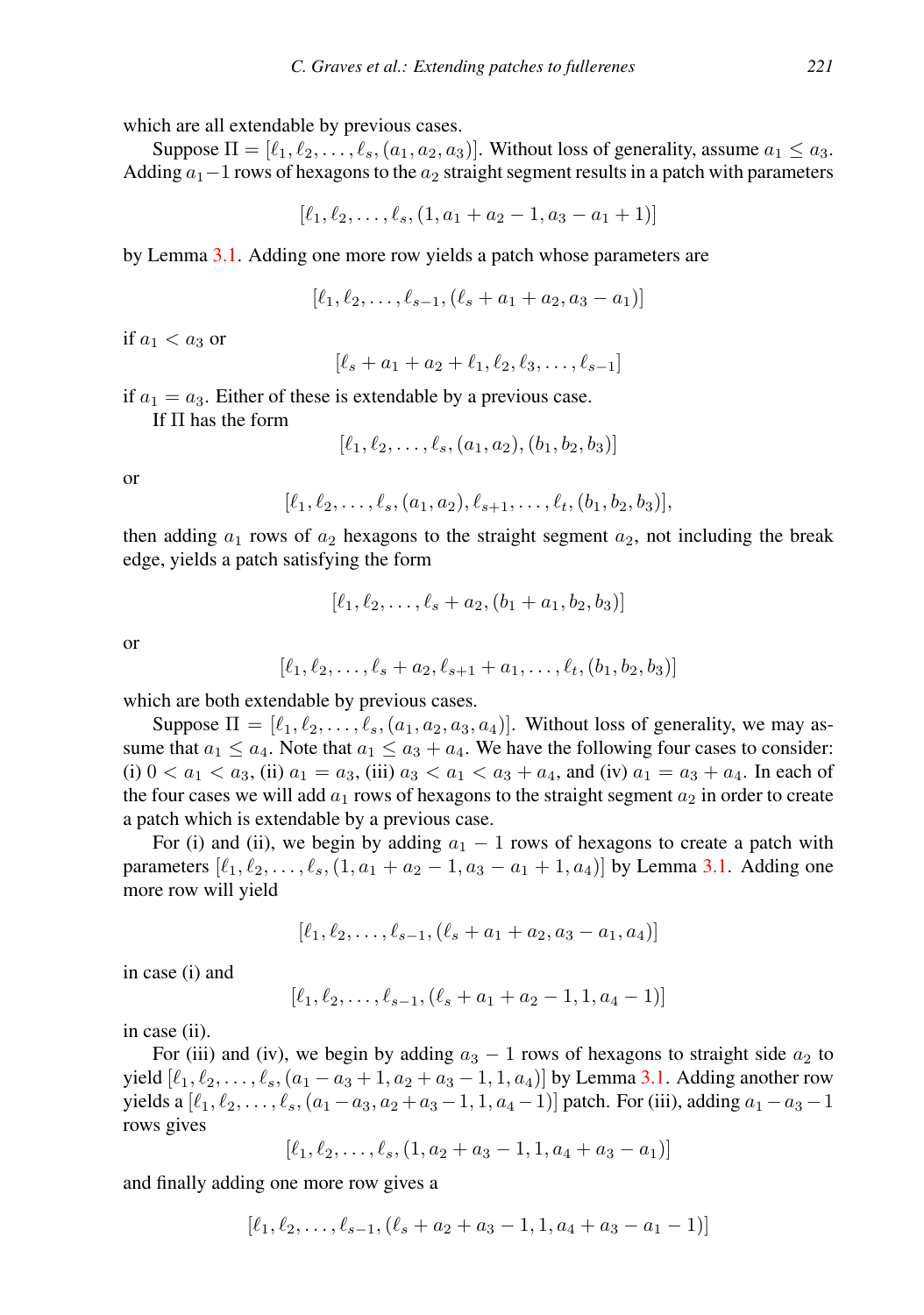which are all extendable by previous cases.

Suppose  $\Pi = [\ell_1, \ell_2, \ldots, \ell_s, (a_1, a_2, a_3)]$ . Without loss of generality, assume  $a_1 \le a_3$ . Adding  $a_1$  –1 rows of hexagons to the  $a_2$  straight segment results in a patch with parameters

$$
[\ell_1, \ell_2, \ldots, \ell_s, (1, a_1 + a_2 - 1, a_3 - a_1 + 1)]
$$

by Lemma [3.1.](#page-5-0) Adding one more row yields a patch whose parameters are

$$
[\ell_1, \ell_2, \ldots, \ell_{s-1}, (\ell_s + a_1 + a_2, a_3 - a_1)]
$$

if  $a_1 < a_3$  or

 $[\ell_{s} + a_{1} + a_{2} + \ell_{1}, \ell_{2}, \ell_{3}, \ldots, \ell_{s-1}]$ 

if  $a_1 = a_3$ . Either of these is extendable by a previous case.

If Π has the form

$$
[\ell_1, \ell_2, \ldots, \ell_s, (a_1, a_2), (b_1, b_2, b_3)]
$$

or

$$
[\ell_1, \ell_2, \ldots, \ell_s, (a_1, a_2), \ell_{s+1}, \ldots, \ell_t, (b_1, b_2, b_3)],
$$

then adding  $a_1$  rows of  $a_2$  hexagons to the straight segment  $a_2$ , not including the break edge, yields a patch satisfying the form

$$
[\ell_1, \ell_2, \ldots, \ell_s + a_2, (b_1 + a_1, b_2, b_3)]
$$

or

$$
[\ell_1, \ell_2, \ldots, \ell_s + a_2, \ell_{s+1} + a_1, \ldots, \ell_t, (b_1, b_2, b_3)]
$$

which are both extendable by previous cases.

Suppose  $\Pi = [\ell_1, \ell_2, \ldots, \ell_s, (a_1, a_2, a_3, a_4)]$ . Without loss of generality, we may assume that  $a_1 \le a_4$ . Note that  $a_1 \le a_3 + a_4$ . We have the following four cases to consider: (i)  $0 < a_1 < a_3$ , (ii)  $a_1 = a_3$ , (iii)  $a_3 < a_1 < a_3 + a_4$ , and (iv)  $a_1 = a_3 + a_4$ . In each of the four cases we will add  $a_1$  rows of hexagons to the straight segment  $a_2$  in order to create a patch which is extendable by a previous case.

For (i) and (ii), we begin by adding  $a_1 - 1$  rows of hexagons to create a patch with parameters  $[\ell_1, \ell_2, \ldots, \ell_s, (1, a_1 + a_2 - 1, a_3 - a_1 + 1, a_4)]$  by Lemma [3.1.](#page-5-0) Adding one more row will yield

$$
[\ell_1, \ell_2, \ldots, \ell_{s-1}, (\ell_s + a_1 + a_2, a_3 - a_1, a_4)]
$$

in case (i) and

$$
[\ell_1, \ell_2, \ldots, \ell_{s-1}, (\ell_s + a_1 + a_2 - 1, 1, a_4 - 1)]
$$

in case (ii).

For (iii) and (iv), we begin by adding  $a_3 - 1$  rows of hexagons to straight side  $a_2$  to yield  $[\ell_1, \ell_2, \ldots, \ell_s, (a_1 - a_3 + 1, a_2 + a_3 - 1, 1, a_4)]$  by Lemma [3.1.](#page-5-0) Adding another row yields a  $[\ell_1, \ell_2, \ldots, \ell_s, (a_1 - a_3, a_2 + a_3 - 1, 1, a_4 - 1)]$  patch. For (iii), adding  $a_1 - a_3 - 1$ rows gives

$$
[\ell_1, \ell_2, \ldots, \ell_s, (1, a_2 + a_3 - 1, 1, a_4 + a_3 - a_1)]
$$

and finally adding one more row gives a

$$
[\ell_1, \ell_2, \ldots, \ell_{s-1}, (\ell_s + a_2 + a_3 - 1, 1, a_4 + a_3 - a_1 - 1)]
$$